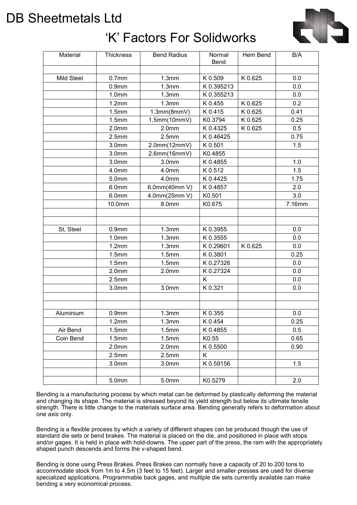# DB Sheetmetals Ltd

# 'K' Factors For Solidworks



| Material   | <b>Thickness</b>  | <b>Bend Radius</b> | Normal<br>Bend | Hem Bend | B/A    |
|------------|-------------------|--------------------|----------------|----------|--------|
|            |                   |                    |                |          |        |
| Mild Steel | 0.7 <sub>mm</sub> | 1.3mm              | K 0.509        | K 0.625  | 0.0    |
|            | 0.9 <sub>mm</sub> | 1.3mm              | K0.395213      |          | 0.0    |
|            | 1.0 <sub>mm</sub> | 1.3mm              | K0.355213      |          | 0.0    |
|            | 1.2mm             | 1.3mm              | K 0.455        | K 0.625  | 0.2    |
|            | 1.5mm             | 1.3mm(8mmV)        | K 0.415        | K 0.625  | 0.41   |
|            | 1.5mm             | 1.5mm(10mmV)       | K0.3794        | K 0.625  | 0.25   |
|            | 2.0 <sub>mm</sub> | 2.0 <sub>mm</sub>  | K 0.4325       | K 0.625  | 0.5    |
|            | 2.5mm             | 2.5mm              | K0.46425       |          | 0.75   |
|            | 3.0 <sub>mm</sub> | 2.0mm(12mmV)       | K 0.501        |          | 1.5    |
|            | 3.0 <sub>mm</sub> | 2.6mm(16mmV)       | K0.4855        |          |        |
|            | 3.0 <sub>mm</sub> | 3.0 <sub>mm</sub>  | K 0.4855       |          | 1.0    |
|            | 4.0mm             | 4.0mm              | K 0.512        |          | 1.5    |
|            | 5.0mm             | 4.0mm              | K 0.4425       |          | 1.75   |
|            | 6.0mm             | 6.0mm(40mm V)      | K 0.4857       |          | 2.0    |
|            | 6.0 <sub>mm</sub> | 4.0mm(25mm V)      | K0.501         |          | 3.0    |
|            | 10.0mm            | 8.0mm              | K0.675         |          | 7.16mm |
|            |                   |                    |                |          |        |
|            |                   |                    |                |          |        |
| St, Steel  | 0.9 <sub>mm</sub> | 1.3mm              | K 0.3955       |          | 0.0    |
|            | 1.0 <sub>mm</sub> | 1.3mm              | K 0.3555       |          | 0.0    |
|            | 1.2mm             | 1.3mm              | K0.29601       | K 0.625  | 0.0    |
|            | 1.5mm             | 1.5mm              | K0.3801        |          | 0.25   |
|            | 1.5mm             | 1.5mm              | K0.27326       |          | 0.0    |
|            | 2.0 <sub>mm</sub> | 2.0 <sub>mm</sub>  | K 0.27324      |          | 0.0    |
|            | 2.5mm             |                    | K              |          | 0.0    |
|            | 3.0 <sub>mm</sub> | 3.0 <sub>mm</sub>  | K 0.321        |          | 0.0    |
|            |                   |                    |                |          |        |
|            |                   |                    |                |          |        |
| Aluminium  | 0.9 <sub>mm</sub> | 1.3mm              | K 0.355        |          | 0.0    |
|            | 1.2mm             | 1.3mm              | K 0.454        |          | 0.25   |
| Air Bend   | 1.5mm             | 1.5mm              | K 0.4855       |          | 0.5    |
| Coin Bend  | 1.5mm             | 1.5mm              | K0.55          |          | 0.65   |
|            | 2.0 <sub>mm</sub> | 2.0 <sub>mm</sub>  | K 0.5500       |          | 0.90   |
|            | 2.5mm             | 2.5mm              | Κ              |          |        |
|            | 3.0 <sub>mm</sub> | 3.0 <sub>mm</sub>  | K0.59156       |          | 1.5    |
|            |                   |                    |                |          |        |
|            | 5.0mm             | 5.0mm              | K0.5279        |          | 2.0    |

Bending is a manufacturing process by which metal can be deformed by plastically deforming the material and changing its shape. The material is stressed beyond its yield strength but below its ultimate tensile strength. There is little change to the materials surface area. Bending generally refers to deformation about one axis only.

Bending is a flexible process by which a variety of different shapes can be produced though the use of standard die sets or bend brakes. The material is placed on the die, and positioned in place with stops and/or gages. It is held in place with hold-downs. The upper part of the press, the ram with the appropriately shaped punch descends and forms the v-shaped bend.

Bending is done using Press Brakes. Press Brakes can normally have a capacity of 20 to 200 tons to accommodate stock from 1m to 4.5m (3 feet to 15 feet). Larger and smaller presses are used for diverse specialized applications. Programmable back gages, and multiple die sets currently available can make bending a very economical process.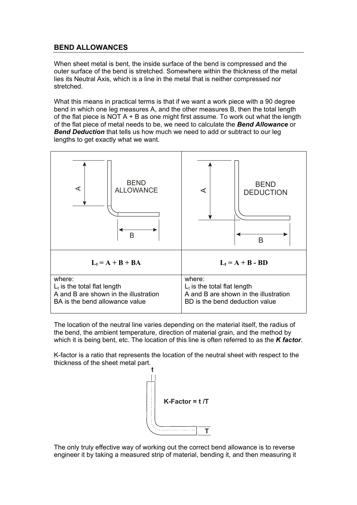## **BEND ALLOWANCES**

When sheet metal is bent, the inside surface of the bend is compressed and the outer surface of the bend is stretched. Somewhere within the thickness of the metal lies its Neutral Axis, which is a line in the metal that is neither compressed nor stretched.

What this means in practical terms is that if we want a work piece with a 90 degree bend in which one leg measures A, and the other measures B, then the total length of the flat piece is NOT  $A + B$  as one might first assume. To work out what the length of the flat piece of metal needs to be, we need to calculate the *Bend Allowance* or *Bend Deduction* that tells us how much we need to add or subtract to our leg lengths to get exactly what we want.



The location of the neutral line varies depending on the material itself, the radius of the bend, the ambient temperature, direction of material grain, and the method by which it is being bent, etc. The location of this line is often referred to as the *K factor*.

K-factor is a ratio that represents the location of the neutral sheet with respect to the thickness of the sheet metal part.



The only truly effective way of working out the correct bend allowance is to reverse engineer it by taking a measured strip of material, bending it, and then measuring it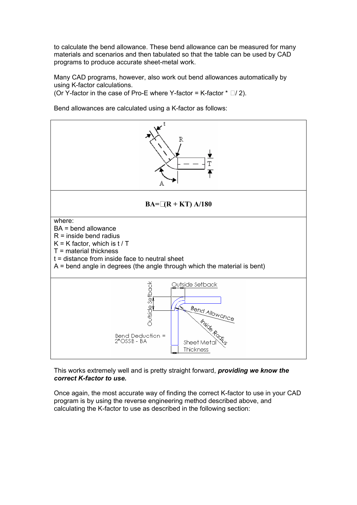to calculate the bend allowance. These bend allowance can be measured for many materials and scenarios and then tabulated so that the table can be used by CAD programs to produce accurate sheet-metal work.

Many CAD programs, however, also work out bend allowances automatically by using K-factor calculations.

(Or Y-factor in the case of Pro-E where Y-factor = K-factor  $* \Box / 2$ ).

Bend allowances are calculated using a K-factor as follows:



### This works extremely well and is pretty straight forward, *providing we know the correct K-factor to use.*

Once again, the most accurate way of finding the correct K-factor to use in your CAD program is by using the reverse engineering method described above, and calculating the K-factor to use as described in the following section: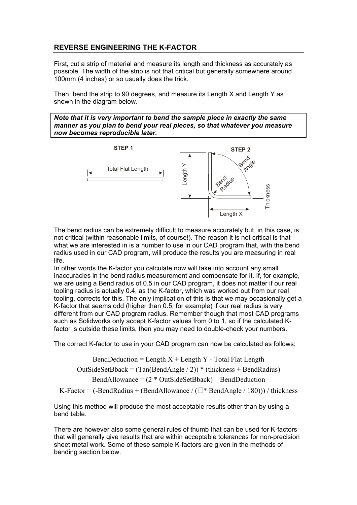## **REVERSE ENGINEERING THE K-FACTOR**

First, cut a strip of material and measure its length and thickness as accurately as possible. The width of the strip is not that critical but generally somewhere around 100mm (4 inches) or so usually does the trick.

Then, bend the strip to 90 degrees, and measure its Length X and Length Y as shown in the diagram below.

*Note that it is very important to bend the sample piece in exactly the same manner as you plan to bend your real pieces, so that whatever you measure now becomes reproducible later.*



The bend radius can be extremely difficult to measure accurately but, in this case, is not critical (within reasonable limits, of course!). The reason it is not critical is that what we are interested in is a number to use in our CAD program that, with the bend radius used in our CAD program, will produce the results you are measuring in real life.

In other words the K-factor you calculate now will take into account any small inaccuracies in the bend radius measurement and compensate for it. If, for example, we are using a Bend radius of 0.5 in our CAD program, it does not matter if our real tooling radius is actually 0.4, as the K-factor, which was worked out from our real tooling, corrects for this. The only implication of this is that we may occasionally get a K-factor that seems odd (higher than 0.5, for example) if our real radius is very different from our CAD program radius. Remember though that most CAD programs such as Solidworks only accept K-factor values from 0 to 1, so if the calculated Kfactor is outside these limits, then you may need to double-check your numbers.

The correct K-factor to use in your CAD program can now be calculated as follows:

BendDeduction = Length  $X +$  Length Y - Total Flat Length OutSideSetBback =  $(Tan(BendAngle / 2))$  \* (thickness + BendRadius) BendAllowance =  $(2 * OutSideSetBlock)$  BendDeduction K-Factor = (-BendRadius + (BendAllowance /  $(\Box^*$  BendAngle / 180))) / thickness

Using this method will produce the most acceptable results other than by using a bend table.

There are however also some general rules of thumb that can be used for K-factors that will generally give results that are within acceptable tolerances for non-precision sheet metal work. Some of these sample K-factors are given in the methods of bending section below.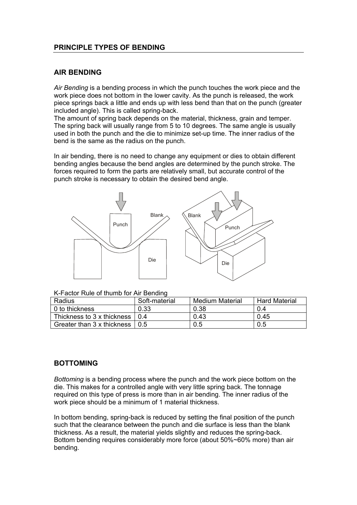## **PRINCIPLE TYPES OF BENDING**

## **AIR BENDING**

*Air Bending* is a bending process in which the punch touches the work piece and the work piece does not bottom in the lower cavity. As the punch is released, the work piece springs back a little and ends up with less bend than that on the punch (greater included angle). This is called spring-back.

The amount of spring back depends on the material, thickness, grain and temper. The spring back will usually range from 5 to 10 degrees. The same angle is usually used in both the punch and the die to minimize set-up time. The inner radius of the bend is the same as the radius on the punch.

In air bending, there is no need to change any equipment or dies to obtain different bending angles because the bend angles are determined by the punch stroke. The forces required to form the parts are relatively small, but accurate control of the punch stroke is necessary to obtain the desired bend angle.



K-Factor Rule of thumb for Air Bending

| Radius                                                | Soft-material | Medium Material | <b>Hard Material</b> |
|-------------------------------------------------------|---------------|-----------------|----------------------|
| ∣ 0 to thickness_                                     | 0.33          | 0.38            | 0.4                  |
| Thickness to 3 x thickness                            | 0.4           | 0.43            | 0.45                 |
| Greater than $3 \times$ thickness $\vert 0.5 \rangle$ |               | 0.5             | 0.5                  |

## **BOTTOMING**

*Bottoming* is a bending process where the punch and the work piece bottom on the die. This makes for a controlled angle with very little spring back. The tonnage required on this type of press is more than in air bending. The inner radius of the work piece should be a minimum of 1 material thickness.

In bottom bending, spring-back is reduced by setting the final position of the punch such that the clearance between the punch and die surface is less than the blank thickness. As a result, the material yields slightly and reduces the spring-back. Bottom bending requires considerably more force (about 50%~60% more) than air bending.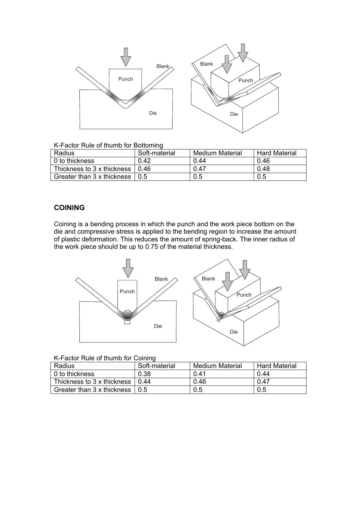

#### K-Factor Rule of thumb for Bottoming

| Radius                     | Soft-material | <b>Medium Material</b> | <b>Hard Material</b> |
|----------------------------|---------------|------------------------|----------------------|
| ∣ 0 to thickness_          | 0.42          | 0.44                   | 0.46                 |
| Thickness to 3 x thickness | በ 46          | 0.47                   | 0.48                 |
| Greater than 3 x thickness | 0.5           | 0.5                    | 0.5                  |

## **COINING**

Coining is a bending process in which the punch and the work piece bottom on the die and compressive stress is applied to the bending region to increase the amount of plastic deformation. This reduces the amount of spring-back. The inner radius of the work piece should be up to 0.75 of the material thickness.



| K-Factor Rule of thumb for Coining |  |
|------------------------------------|--|
|------------------------------------|--|

| Radius                     | Soft-material | <b>Medium Material</b> | <b>Hard Material</b> |
|----------------------------|---------------|------------------------|----------------------|
| ∣ 0 to thickness_          | 0.38          | 0.41                   | 0.44                 |
| Thickness to 3 x thickness | 0.44          | 0.46                   | 0.47                 |
| Greater than 3 x thickness |               | 0.5                    | 0.5                  |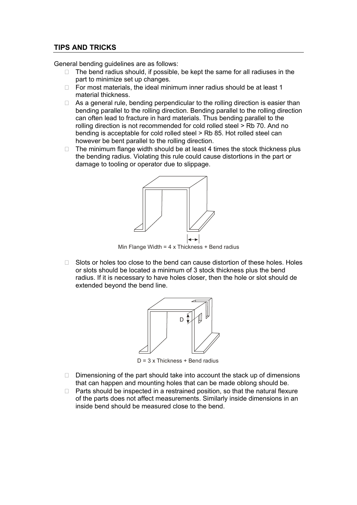### **TIPS AND TRICKS**

General bending guidelines are as follows:

 The bend radius should, if possible, be kept the same for all radiuses in the part to minimize set up changes.

 For most materials, the ideal minimum inner radius should be at least 1 material thickness.

 As a general rule, bending perpendicular to the rolling direction is easier than bending parallel to the rolling direction. Bending parallel to the rolling direction can often lead to fracture in hard materials. Thus bending parallel to the rolling direction is not recommended for cold rolled steel > Rb 70. And no bending is acceptable for cold rolled steel > Rb 85. Hot rolled steel can however be bent parallel to the rolling direction.

 The minimum flange width should be at least 4 times the stock thickness plus the bending radius. Violating this rule could cause distortions in the part or damage to tooling or operator due to slippage.



Min Flange Width =  $4 \times$  Thickness + Bend radius

 Slots or holes too close to the bend can cause distortion of these holes. Holes or slots should be located a minimum of 3 stock thickness plus the bend radius. If it is necessary to have holes closer, then the hole or slot should de extended beyond the bend line.



 $D = 3 \times$  Thickness + Bend radius

 Dimensioning of the part should take into account the stack up of dimensions that can happen and mounting holes that can be made oblong should be. Parts should be inspected in a restrained position, so that the natural flexure of the parts does not affect measurements. Similarly inside dimensions in an inside bend should be measured close to the bend.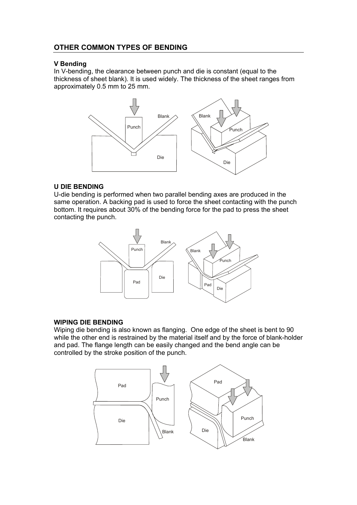## **OTHER COMMON TYPES OF BENDING**

#### **V Bending**

In V-bending, the clearance between punch and die is constant (equal to the thickness of sheet blank). It is used widely. The thickness of the sheet ranges from approximately 0.5 mm to 25 mm.



### **U DIE BENDING**

U-die bending is performed when two parallel bending axes are produced in the same operation. A backing pad is used to force the sheet contacting with the punch bottom. It requires about 30% of the bending force for the pad to press the sheet contacting the punch.



### **WIPING DIE BENDING**

Wiping die bending is also known as flanging. One edge of the sheet is bent to 90 while the other end is restrained by the material itself and by the force of blank-holder and pad. The flange length can be easily changed and the bend angle can be controlled by the stroke position of the punch.